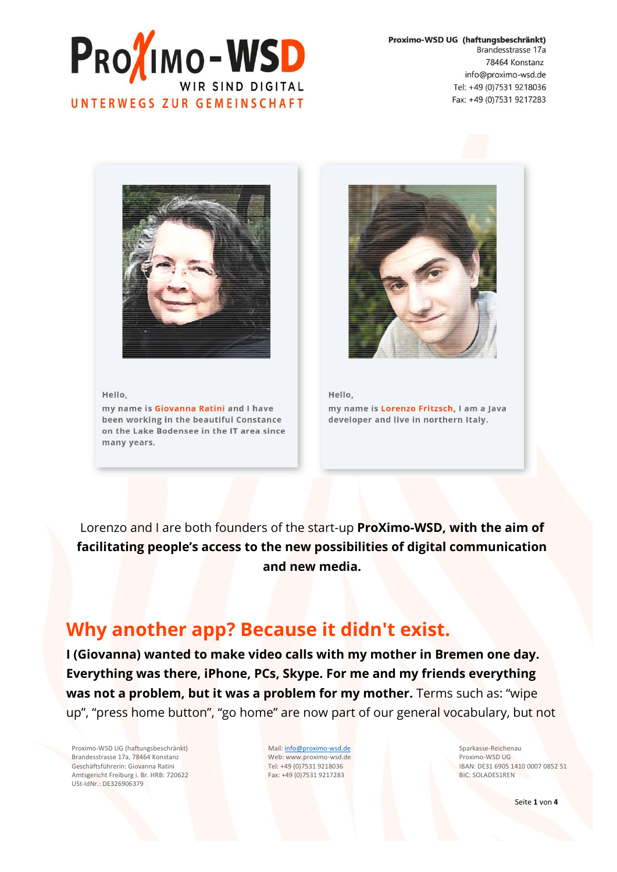

Proximo-WSD UG (haftungsbeschränkt) Brandesstrasse 17a 78464 Konstanz info@proximo-wsd.de Tel: +49 (0)7531 9218036 Fax: +49 (0)7531 9217283



#### Hello,

my name is Giovanna Ratini and I have been working in the beautiful Constance on the Lake Bodensee in the IT area since many years.



Hello, my name is Lorenzo Fritzsch, I am a Java developer and live in northern Italy.

Lorenzo and I are both founders of the start-up **ProXimo-WSD, with the aim of facilitating people's access to the new possibilities of digital communication and new media.**

#### **Why another app? Because it didn't exist.**

**I (Giovanna) wanted to make video calls with my mother in Bremen one day. Everything was there, iPhone, PCs, Skype. For me and my friends everything was not a problem, but it was a problem for my mother.** Terms such as: "wipe up", "press home button", "go home" are now part of our general vocabulary, but not

Proximo-WSD UG (haftungsbeschränkt) Brandesstrasse 17a, 78464 Konstanz Geschäftsführerin: Giovanna Ratini Amtsgericht Freiburg i. Br. HRB: 720622 USt-IdNr.: DE326906379

Mail[: info@proximo-wsd.de](mailto:info@proximo-wsd.de) Web: www.proximo-wsd.de Tel: +49 (0)7531 9218036 Fax: +49 (0)7531 9217283

Sparkasse-Reichenau Proximo-WSD UG IBAN: DE31 6905 1410 0007 0852 51 BIC: SOLADES1REN

Seite **1** von **4**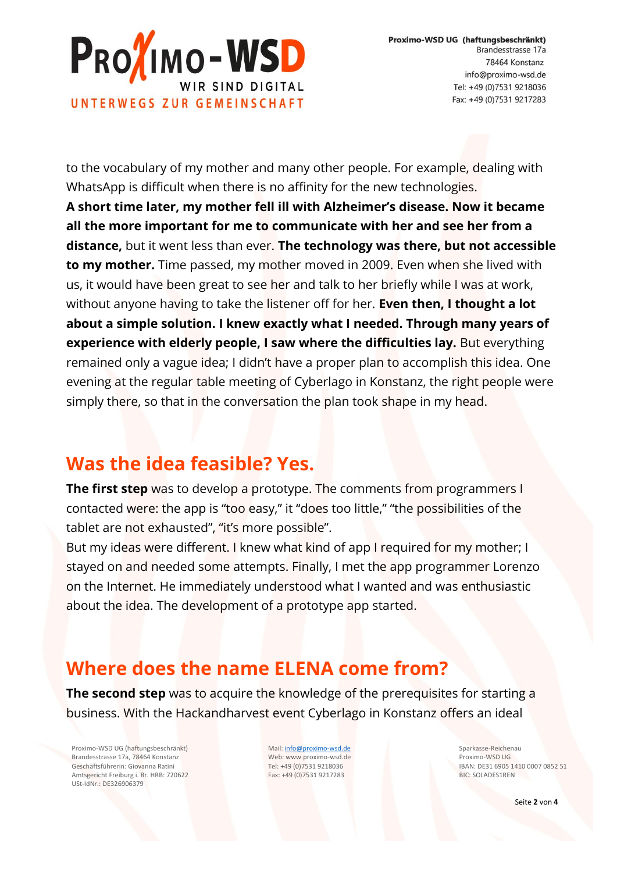

to the vocabulary of my mother and many other people. For example, dealing with WhatsApp is difficult when there is no affinity for the new technologies. **A short time later, my mother fell ill with Alzheimer's disease. Now it became all the more important for me to communicate with her and see her from a distance,** but it went less than ever. **The technology was there, but not accessible to my mother.** Time passed, my mother moved in 2009. Even when she lived with us, it would have been great to see her and talk to her briefly while I was at work, without anyone having to take the listener off for her. **Even then, I thought a lot about a simple solution. I knew exactly what I needed. Through many years of experience with elderly people, I saw where the difficulties lay.** But everything remained only a vague idea; I didn't have a proper plan to accomplish this idea. One evening at the regular table meeting of Cyberlago in Konstanz, the right people were simply there, so that in the conversation the plan took shape in my head.

### **Was the idea feasible? Yes.**

**The first step** was to develop a prototype. The comments from programmers I contacted were: the app is "too easy," it "does too little," "the possibilities of the tablet are not exhausted", "it's more possible".

But my ideas were different. I knew what kind of app I required for my mother; I stayed on and needed some attempts. Finally, I met the app programmer Lorenzo on the Internet. He immediately understood what I wanted and was enthusiastic about the idea. The development of a prototype app started.

### **Where does the name ELENA come from?**

**The second step** was to acquire the knowledge of the prerequisites for starting a business. With the Hackandharvest event Cyberlago in Konstanz offers an ideal

Proximo-WSD UG (haftungsbeschränkt) Brandesstrasse 17a, 78464 Konstanz Geschäftsführerin: Giovanna Ratini Amtsgericht Freiburg i. Br. HRB: 720622 USt-IdNr.: DE326906379

Mail[: info@proximo-wsd.de](mailto:info@proximo-wsd.de) Web: www.proximo-wsd.de Tel: +49 (0)7531 9218036 Fax: +49 (0)7531 9217283

Sparkasse-Reichenau Proximo-WSD UG IBAN: DE31 6905 1410 0007 0852 51 BIC: SOLADES1REN

Seite **2** von **4**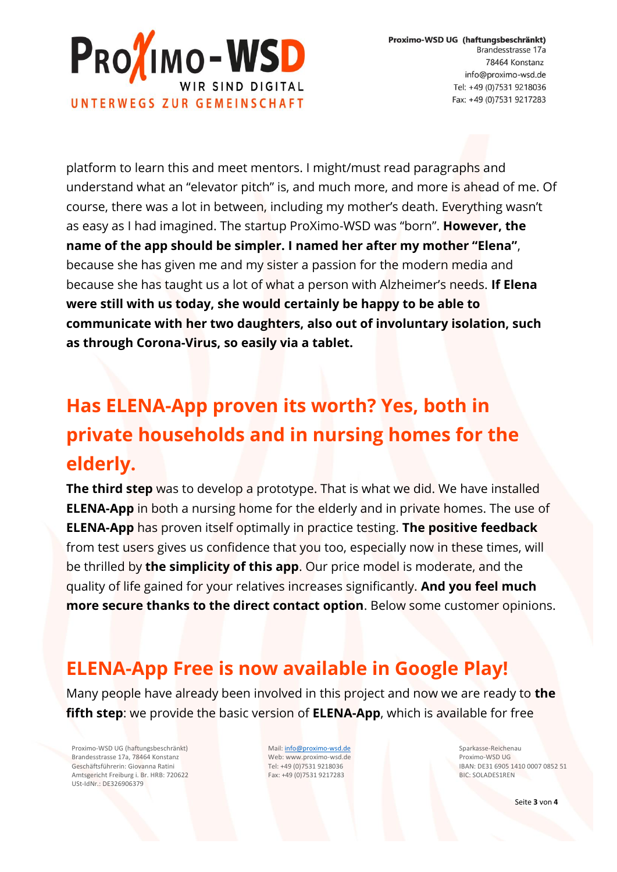

platform to learn this and meet mentors. I might/must read paragraphs and understand what an "elevator pitch" is, and much more, and more is ahead of me. Of course, there was a lot in between, including my mother's death. Everything wasn't as easy as I had imagined. The startup ProXimo-WSD was "born". **However, the name of the app should be simpler. I named her after my mother "Elena"**, because she has given me and my sister a passion for the modern media and because she has taught us a lot of what a person with Alzheimer's needs. **If Elena were still with us today, she would certainly be happy to be able to communicate with her two daughters, also out of involuntary isolation, such as through Corona-Virus, so easily via a tablet.**

# **Has ELENA-App proven its worth? Yes, both in private households and in nursing homes for the elderly.**

**The third step** was to develop a prototype. That is what we did. We have installed **ELENA-App** in both a nursing home for the elderly and in private homes. The use of **ELENA-App** has proven itself optimally in practice testing. **The positive feedback** from test users gives us confidence that you too, especially now in these times, will be thrilled by **the simplicity of this app**. Our price model is moderate, and the quality of life gained for your relatives increases significantly. **And you feel much more secure thanks to the direct contact option**. Below some customer opinions.

## **ELENA-App Free is now available in Google Play!**

Many people have already been involved in this project and now we are ready to **the fifth step**: we provide the basic version of **ELENA-App**, which is available for free

Proximo-WSD UG (haftungsbeschränkt) Brandesstrasse 17a, 78464 Konstanz Geschäftsführerin: Giovanna Ratini Amtsgericht Freiburg i. Br. HRB: 720622 USt-IdNr.: DE326906379

Mail[: info@proximo-wsd.de](mailto:info@proximo-wsd.de) Web: www.proximo-wsd.de Tel: +49 (0)7531 9218036 Fax: +49 (0)7531 9217283

Sparkasse-Reichenau Proximo-WSD UG IBAN: DE31 6905 1410 0007 0852 51 BIC: SOLADES1REN

Seite **3** von **4**